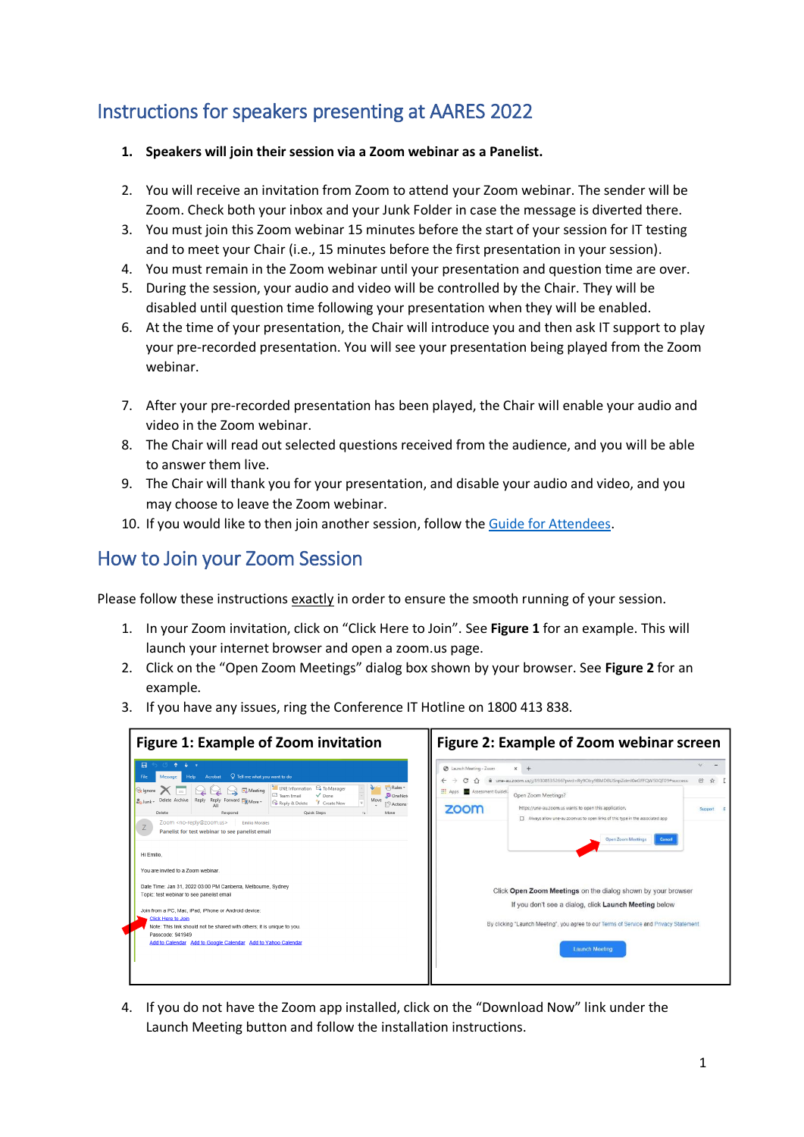## Instructions for speakers presenting at AARES 2022

- **1. Speakers will join their session via a Zoom webinar as a Panelist.**
- 2. You will receive an invitation from Zoom to attend your Zoom webinar. The sender will be Zoom. Check both your inbox and your Junk Folder in case the message is diverted there.
- 3. You must join this Zoom webinar 15 minutes before the start of your session for IT testing and to meet your Chair (i.e., 15 minutes before the first presentation in your session).
- 4. You must remain in the Zoom webinar until your presentation and question time are over.
- 5. During the session, your audio and video will be controlled by the Chair. They will be disabled until question time following your presentation when they will be enabled.
- 6. At the time of your presentation, the Chair will introduce you and then ask IT support to play your pre-recorded presentation. You will see your presentation being played from the Zoom webinar.
- 7. After your pre-recorded presentation has been played, the Chair will enable your audio and video in the Zoom webinar.
- 8. The Chair will read out selected questions received from the audience, and you will be able to answer them live.
- 9. The Chair will thank you for your presentation, and disable your audio and video, and you may choose to leave the Zoom webinar.
- 10. If you would like to then join another session, follow the [Guide for Attendees.](https://www.aares.org.au/files/aares_conference_2022/Attendee_Guide_final.pdf)

## How to Join your Zoom Session

Please follow these instructions exactly in order to ensure the smooth running of your session.

- 1. In your Zoom invitation, click on "Click Here to Join". See **Figure 1** for an example. This will launch your internet browser and open a zoom.us page.
- 2. Click on the "Open Zoom Meetings" dialog box shown by your browser. See **Figure 2** for an example.
- 3. If you have any issues, ring the Conference IT Hotline on 1800 413 838.

| <b>Figure 1: Example of Zoom invitation</b>                                                                                                                                                                                                                                                                                                                                                                                                                                                                                                                                                                                                                                                                                                                                                                                                                                                                                                                                         | Figure 2: Example of Zoom webinar screen                                                                                                                                                                                                                                                                                                                                                                                                                                                                                                                                                                                                         |  |  |
|-------------------------------------------------------------------------------------------------------------------------------------------------------------------------------------------------------------------------------------------------------------------------------------------------------------------------------------------------------------------------------------------------------------------------------------------------------------------------------------------------------------------------------------------------------------------------------------------------------------------------------------------------------------------------------------------------------------------------------------------------------------------------------------------------------------------------------------------------------------------------------------------------------------------------------------------------------------------------------------|--------------------------------------------------------------------------------------------------------------------------------------------------------------------------------------------------------------------------------------------------------------------------------------------------------------------------------------------------------------------------------------------------------------------------------------------------------------------------------------------------------------------------------------------------------------------------------------------------------------------------------------------------|--|--|
| 日<br>$\sqrt{ }$ Tell me what you want to do<br>Acrobat<br>Help<br><sup>2</sup> To Manager<br><b>Rules</b> *<br>UNE Information<br><b>R</b> lqnore<br><b>DE</b> Meeting<br>Team Email<br>$\sqrt{}$ Done<br><b>D</b> OneNote<br>Move<br>Reply<br>Reply<br>Delete Archive<br>Forward <b>BE</b> More -<br>o Junk -<br>Reply & Delete<br>F Create New<br><sup>2</sup> Actions<br>Delete<br>Quick Steps<br>Respond<br>Move<br>Zoom <no-reply@zoom.us><br/><b>Emilio Morales</b><br/>Ζ<br/>Panelist for test webinar to see panelist email<br/>Hi Emilio.<br/>You are invited to a Zoom webinar.<br/>Date Time: Jan 31, 2022 03:00 PM Canberra, Melbourne, Sydney<br/>Topic: test webinar to see panelist email<br/>Join from a PC, Mac, iPad, iPhone or Android device:<br/><b>Click Here to Join</b><br/>Note: This link should not be shared with others; it is unique to you.<br/>Passcode: 941949<br/>Add to Calendar Add to Google Calendar Add to Yahoo Calendar</no-reply@zoom.us> | $\checkmark$<br><b>@</b> Launch Meeting - Zoom<br>$\times$<br>$+$<br>une-au.zoom.us/j/89308535266?pwd=Ry9Oby9BMDBUSnpZdml0eGFFQW50QT09#success<br>m<br>Assessment Guideli<br>Open Zoom Meetings?<br>https://une-au.zoom.us wants to open this application.<br>zoom<br>Support<br>Always allow une-au.zoom.us to open links of this type in the associated app.<br><b>Open Zoom Meetings</b><br>Cancel<br>Click Open Zoom Meetings on the dialog shown by your browser<br>If you don't see a dialog, click Launch Meeting below<br>By clicking "Launch Meeting", you agree to our Terms of Service and Privacy Statement<br><b>Launch Meeting</b> |  |  |

4. If you do not have the Zoom app installed, click on the "Download Now" link under the Launch Meeting button and follow the installation instructions.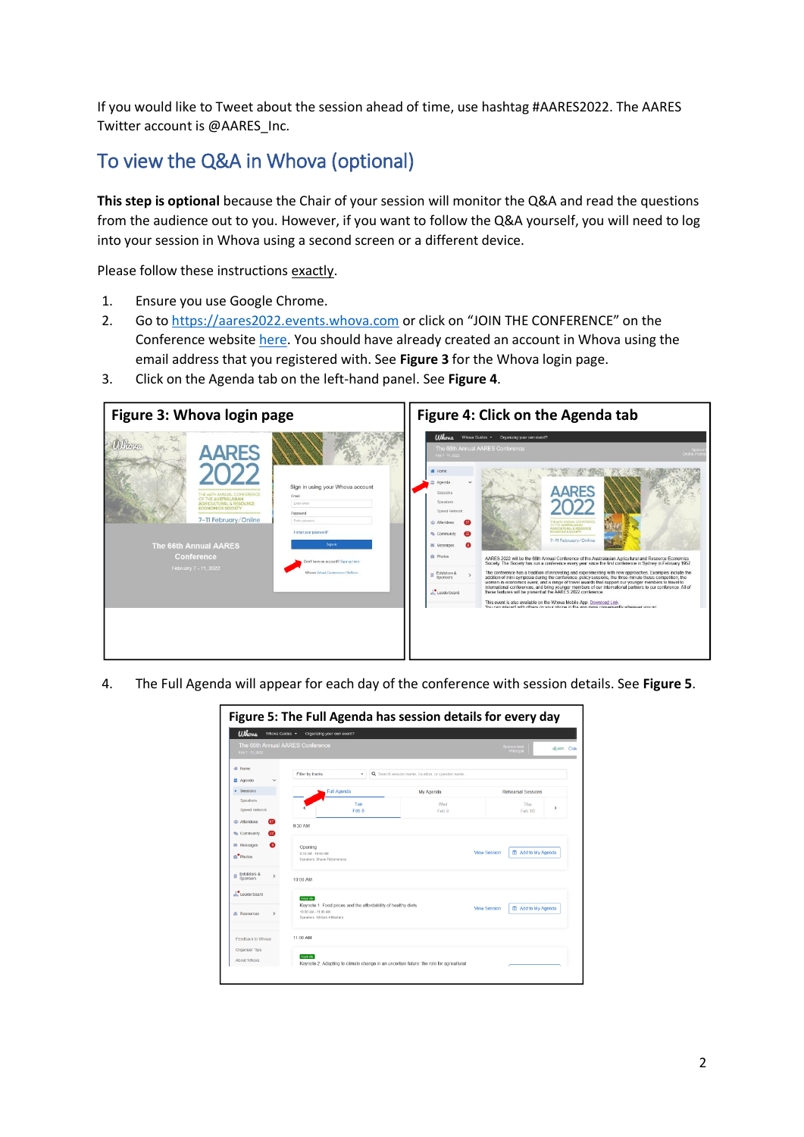If you would like to Tweet about the session ahead of time, use hashtag #AARES2022. The AARES Twitter account is @AARES\_Inc.

## To view the Q&A in Whova (optional)

**This step is optional** because the Chair of your session will monitor the Q&A and read the questions from the audience out to you. However, if you want to follow the Q&A yourself, you will need to log into your session in Whova using a second screen or a different device.

Please follow these instructions exactly.

- 1. Ensure you use Google Chrome.
- 2. Go to [https://aares2022.events.whova.com](https://aus01.safelinks.protection.outlook.com/?url=https%3A%2F%2Faares2022.events.whova.com%2F&data=04%7C01%7Clmorales%40myune.mail.onmicrosoft.com%7C1aabab70c2b94687b76308d9da3c8bef%7C3e104c4f8ef24d1483d8bd7d3b46b8db%7C0%7C0%7C637780775845996053%7CUnknown%7CTWFpbGZsb3d8eyJWIjoiMC4wLjAwMDAiLCJQIjoiV2luMzIiLCJBTiI6Ik1haWwiLCJXVCI6Mn0%3D%7C3000&sdata=ld2FreD%2BjwbwzJvXhc1m%2FXDECmzde8uSSsWOLKb%2FpXE%3D&reserved=0) or click on "JOIN THE CONFERENCE" on the Conference website [here.](http://aares2022.org.au/) You should have already created an account in Whova using the email address that you registered with. See **Figure 3** for the Whova login page.
- 3. Click on the Agenda tab on the left-hand panel. See **Figure 4**.



4. The Full Agenda will appear for each day of the conference with session details. See **Figure 5**.

| Figure 5: The Full Agenda has session details for every day |                                                                                                                                |                                 |                                                                                         |                           |                           |                         |  |
|-------------------------------------------------------------|--------------------------------------------------------------------------------------------------------------------------------|---------------------------------|-----------------------------------------------------------------------------------------|---------------------------|---------------------------|-------------------------|--|
| <b>Ulhova</b><br>Whova Guides -                             | Organizing your own event?                                                                                                     |                                 |                                                                                         |                           |                           |                         |  |
| The 66th Annual AARES Conference<br>Feb 7 - 11, 2022        |                                                                                                                                |                                 |                                                                                         |                           | ponsor level<br>Principal | <b><i>Craw</i></b> Cray |  |
| <b>备 Home</b>                                               | Filter by tracks                                                                                                               | ٠                               | Q Search session name, location, or speaker name.                                       |                           |                           |                         |  |
| <b>曲 Agenda</b>                                             |                                                                                                                                |                                 |                                                                                         |                           |                           |                         |  |
| Sessions                                                    |                                                                                                                                | <b>Full Agenda</b><br>My Agenda |                                                                                         | <b>Rehearsal Sessions</b> |                           |                         |  |
| <b>Speakers</b><br>Speed Network                            |                                                                                                                                | Tue<br>Feb 8                    | Wed<br>Feb 9                                                                            |                           | Thu<br>Feb 10             | >                       |  |
| ത<br>忠 Attendees<br>Community                               | 9:30 AM                                                                                                                        |                                 |                                                                                         |                           |                           |                         |  |
| 图 Messages<br>m <sup>o</sup> Photos                         | Opening<br>9:30 AM - 10:00 AM<br>Speakers: Shane Filtraimmons                                                                  |                                 |                                                                                         | <b>View Session</b>       | 菌 Add to My Agenda        |                         |  |
| Exhibitors &<br>贝<br>$\rightarrow$<br>Sponsors              | 10:00 AM                                                                                                                       |                                 |                                                                                         |                           |                           |                         |  |
| .i. Leaderboard<br><b>E</b> Resources                       | Keynote<br>Keynote 1: Food prices and the affordability of healthy diets<br>10:00 AM - 11:00 AM<br>Speakers: William A Masters |                                 |                                                                                         | <b>View Session</b>       | 菌 Add to My Agenda        |                         |  |
| Feedback to Whova                                           | 11:00 AM                                                                                                                       |                                 |                                                                                         |                           |                           |                         |  |
| Organizer Tips<br>About Whova                               | Keynote                                                                                                                        |                                 | Keynote 2: Adapting to climate change in an uncertain future: the role for agricultural |                           |                           |                         |  |